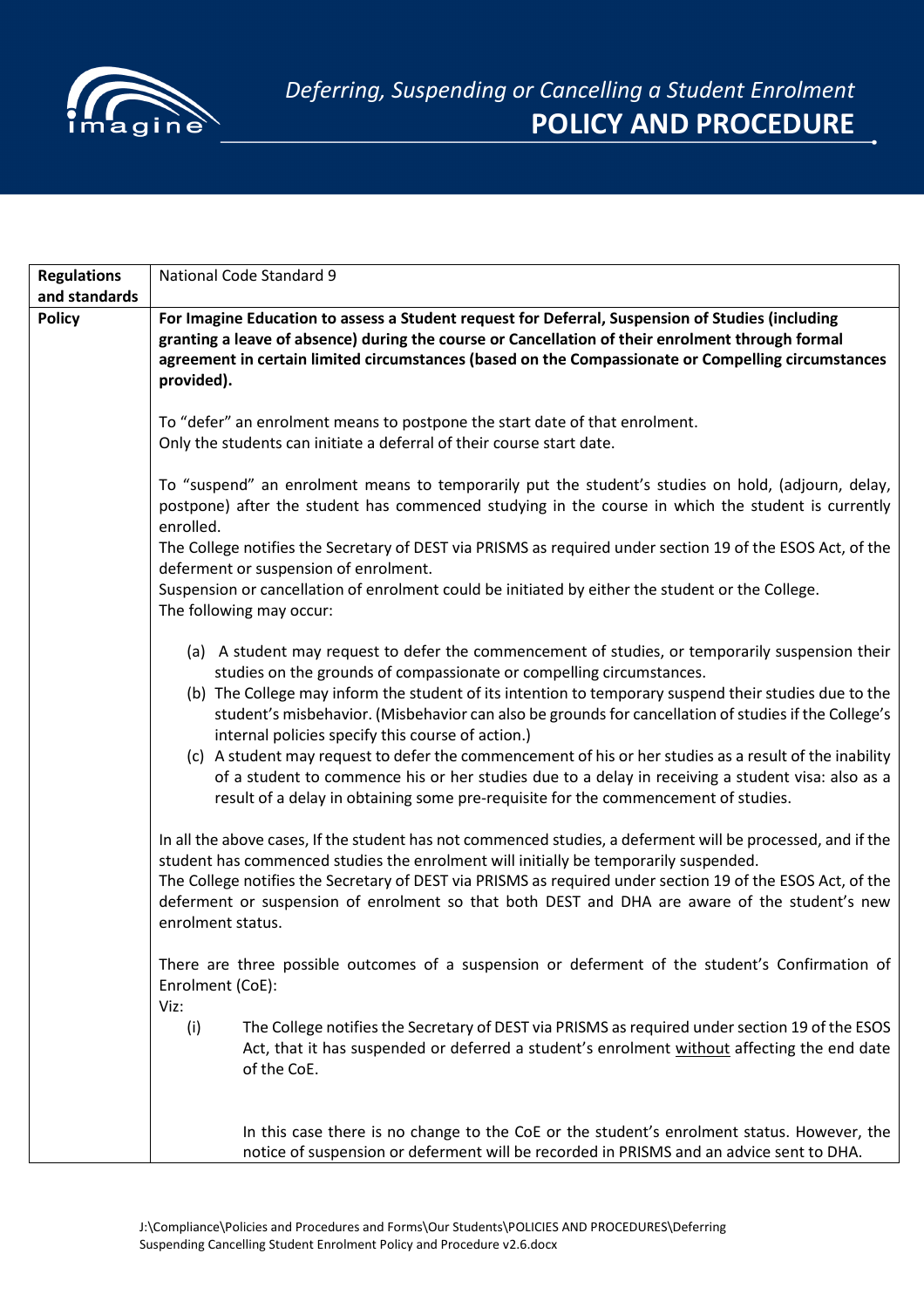

| <b>Regulations</b> | National Code Standard 9                                                                                                                                                                                                                                                                                                                                                                                                                                                                                                                                |
|--------------------|---------------------------------------------------------------------------------------------------------------------------------------------------------------------------------------------------------------------------------------------------------------------------------------------------------------------------------------------------------------------------------------------------------------------------------------------------------------------------------------------------------------------------------------------------------|
| and standards      |                                                                                                                                                                                                                                                                                                                                                                                                                                                                                                                                                         |
| <b>Policy</b>      | For Imagine Education to assess a Student request for Deferral, Suspension of Studies (including<br>granting a leave of absence) during the course or Cancellation of their enrolment through formal<br>agreement in certain limited circumstances (based on the Compassionate or Compelling circumstances<br>provided).                                                                                                                                                                                                                                |
|                    | To "defer" an enrolment means to postpone the start date of that enrolment.<br>Only the students can initiate a deferral of their course start date.                                                                                                                                                                                                                                                                                                                                                                                                    |
|                    | To "suspend" an enrolment means to temporarily put the student's studies on hold, (adjourn, delay,<br>postpone) after the student has commenced studying in the course in which the student is currently<br>enrolled.                                                                                                                                                                                                                                                                                                                                   |
|                    | The College notifies the Secretary of DEST via PRISMS as required under section 19 of the ESOS Act, of the<br>deferment or suspension of enrolment.                                                                                                                                                                                                                                                                                                                                                                                                     |
|                    | Suspension or cancellation of enrolment could be initiated by either the student or the College.<br>The following may occur:                                                                                                                                                                                                                                                                                                                                                                                                                            |
|                    | (a) A student may request to defer the commencement of studies, or temporarily suspension their<br>studies on the grounds of compassionate or compelling circumstances.<br>(b) The College may inform the student of its intention to temporary suspend their studies due to the<br>student's misbehavior. (Misbehavior can also be grounds for cancellation of studies if the College's<br>internal policies specify this course of action.)<br>(c) A student may request to defer the commencement of his or her studies as a result of the inability |
|                    | of a student to commence his or her studies due to a delay in receiving a student visa: also as a<br>result of a delay in obtaining some pre-requisite for the commencement of studies.                                                                                                                                                                                                                                                                                                                                                                 |
|                    | In all the above cases, If the student has not commenced studies, a deferment will be processed, and if the<br>student has commenced studies the enrolment will initially be temporarily suspended.<br>The College notifies the Secretary of DEST via PRISMS as required under section 19 of the ESOS Act, of the<br>deferment or suspension of enrolment so that both DEST and DHA are aware of the student's new<br>enrolment status.                                                                                                                 |
|                    | There are three possible outcomes of a suspension or deferment of the student's Confirmation of<br>Enrolment (CoE):<br>Viz:                                                                                                                                                                                                                                                                                                                                                                                                                             |
|                    | The College notifies the Secretary of DEST via PRISMS as required under section 19 of the ESOS<br>(i)<br>Act, that it has suspended or deferred a student's enrolment without affecting the end date<br>of the CoE.                                                                                                                                                                                                                                                                                                                                     |
|                    | In this case there is no change to the CoE or the student's enrolment status. However, the<br>notice of suspension or deferment will be recorded in PRISMS and an advice sent to DHA.                                                                                                                                                                                                                                                                                                                                                                   |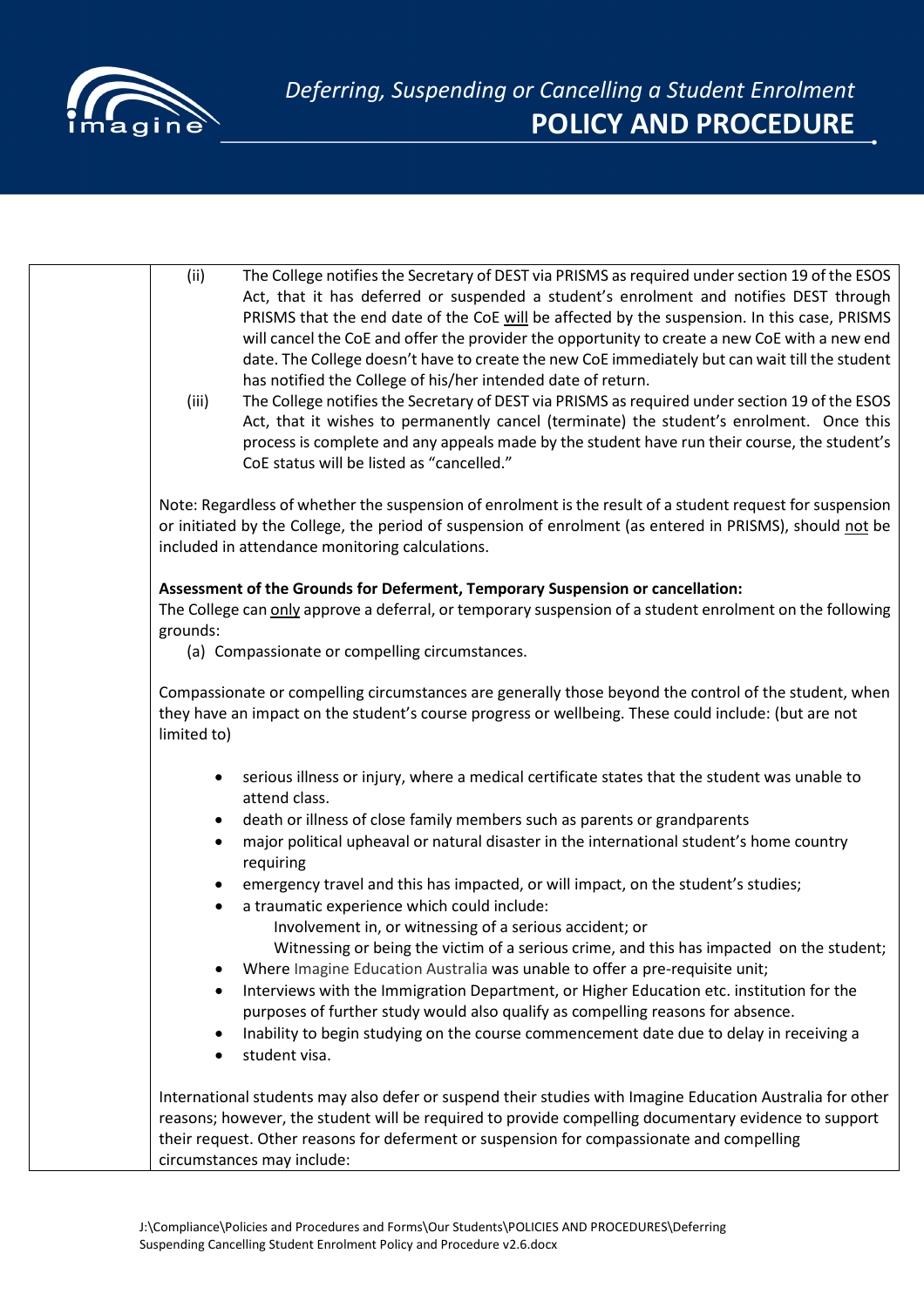

| (ii)<br>(iii)          | The College notifies the Secretary of DEST via PRISMS as required under section 19 of the ESOS<br>Act, that it has deferred or suspended a student's enrolment and notifies DEST through<br>PRISMS that the end date of the CoE will be affected by the suspension. In this case, PRISMS<br>will cancel the CoE and offer the provider the opportunity to create a new CoE with a new end<br>date. The College doesn't have to create the new CoE immediately but can wait till the student<br>has notified the College of his/her intended date of return.<br>The College notifies the Secretary of DEST via PRISMS as required under section 19 of the ESOS<br>Act, that it wishes to permanently cancel (terminate) the student's enrolment. Once this<br>process is complete and any appeals made by the student have run their course, the student's<br>CoE status will be listed as "cancelled." |
|------------------------|--------------------------------------------------------------------------------------------------------------------------------------------------------------------------------------------------------------------------------------------------------------------------------------------------------------------------------------------------------------------------------------------------------------------------------------------------------------------------------------------------------------------------------------------------------------------------------------------------------------------------------------------------------------------------------------------------------------------------------------------------------------------------------------------------------------------------------------------------------------------------------------------------------|
|                        | Note: Regardless of whether the suspension of enrolment is the result of a student request for suspension<br>or initiated by the College, the period of suspension of enrolment (as entered in PRISMS), should not be<br>included in attendance monitoring calculations.                                                                                                                                                                                                                                                                                                                                                                                                                                                                                                                                                                                                                               |
| grounds:               | Assessment of the Grounds for Deferment, Temporary Suspension or cancellation:<br>The College can only approve a deferral, or temporary suspension of a student enrolment on the following<br>(a) Compassionate or compelling circumstances.                                                                                                                                                                                                                                                                                                                                                                                                                                                                                                                                                                                                                                                           |
| limited to)            | Compassionate or compelling circumstances are generally those beyond the control of the student, when<br>they have an impact on the student's course progress or wellbeing. These could include: (but are not                                                                                                                                                                                                                                                                                                                                                                                                                                                                                                                                                                                                                                                                                          |
| $\bullet$              | serious illness or injury, where a medical certificate states that the student was unable to<br>attend class.                                                                                                                                                                                                                                                                                                                                                                                                                                                                                                                                                                                                                                                                                                                                                                                          |
| ٠<br>$\bullet$         | death or illness of close family members such as parents or grandparents<br>major political upheaval or natural disaster in the international student's home country<br>requiring                                                                                                                                                                                                                                                                                                                                                                                                                                                                                                                                                                                                                                                                                                                      |
| $\bullet$<br>$\bullet$ | emergency travel and this has impacted, or will impact, on the student's studies;<br>a traumatic experience which could include:<br>Involvement in, or witnessing of a serious accident; or                                                                                                                                                                                                                                                                                                                                                                                                                                                                                                                                                                                                                                                                                                            |
| $\bullet$              | Witnessing or being the victim of a serious crime, and this has impacted on the student;<br>Where Imagine Education Australia was unable to offer a pre-requisite unit;                                                                                                                                                                                                                                                                                                                                                                                                                                                                                                                                                                                                                                                                                                                                |
| $\bullet$              | Interviews with the Immigration Department, or Higher Education etc. institution for the<br>purposes of further study would also qualify as compelling reasons for absence.<br>Inability to begin studying on the course commencement date due to delay in receiving a                                                                                                                                                                                                                                                                                                                                                                                                                                                                                                                                                                                                                                 |
| $\bullet$              | student visa.                                                                                                                                                                                                                                                                                                                                                                                                                                                                                                                                                                                                                                                                                                                                                                                                                                                                                          |
|                        | International students may also defer or suspend their studies with Imagine Education Australia for other<br>reasons; however, the student will be required to provide compelling documentary evidence to support<br>their request. Other reasons for deferment or suspension for compassionate and compelling<br>circumstances may include:                                                                                                                                                                                                                                                                                                                                                                                                                                                                                                                                                           |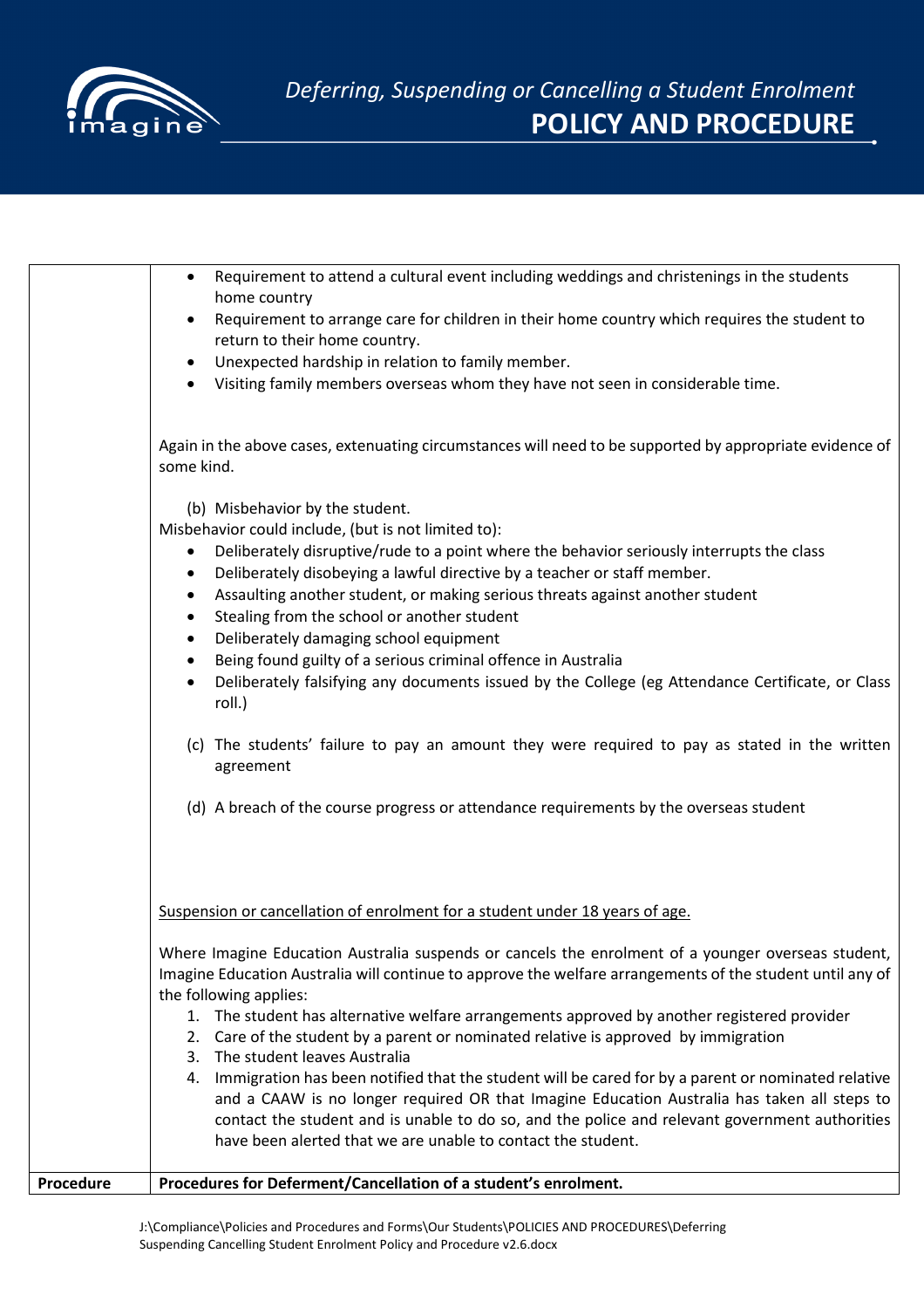

|           | Requirement to attend a cultural event including weddings and christenings in the students<br>home country<br>Requirement to arrange care for children in their home country which requires the student to<br>return to their home country.<br>Unexpected hardship in relation to family member.<br>Visiting family members overseas whom they have not seen in considerable time.<br>$\bullet$<br>Again in the above cases, extenuating circumstances will need to be supported by appropriate evidence of<br>some kind.<br>(b) Misbehavior by the student.<br>Misbehavior could include, (but is not limited to):<br>Deliberately disruptive/rude to a point where the behavior seriously interrupts the class<br>$\bullet$<br>Deliberately disobeying a lawful directive by a teacher or staff member.<br>٠<br>Assaulting another student, or making serious threats against another student<br>Stealing from the school or another student<br>$\bullet$<br>Deliberately damaging school equipment<br>$\bullet$<br>Being found guilty of a serious criminal offence in Australia<br>Deliberately falsifying any documents issued by the College (eg Attendance Certificate, or Class<br>$\bullet$<br>roll.) |
|-----------|----------------------------------------------------------------------------------------------------------------------------------------------------------------------------------------------------------------------------------------------------------------------------------------------------------------------------------------------------------------------------------------------------------------------------------------------------------------------------------------------------------------------------------------------------------------------------------------------------------------------------------------------------------------------------------------------------------------------------------------------------------------------------------------------------------------------------------------------------------------------------------------------------------------------------------------------------------------------------------------------------------------------------------------------------------------------------------------------------------------------------------------------------------------------------------------------------------------|
|           | (c) The students' failure to pay an amount they were required to pay as stated in the written<br>agreement<br>(d) A breach of the course progress or attendance requirements by the overseas student                                                                                                                                                                                                                                                                                                                                                                                                                                                                                                                                                                                                                                                                                                                                                                                                                                                                                                                                                                                                           |
|           | Suspension or cancellation of enrolment for a student under 18 years of age.                                                                                                                                                                                                                                                                                                                                                                                                                                                                                                                                                                                                                                                                                                                                                                                                                                                                                                                                                                                                                                                                                                                                   |
|           | Where Imagine Education Australia suspends or cancels the enrolment of a younger overseas student,<br>Imagine Education Australia will continue to approve the welfare arrangements of the student until any of<br>the following applies:<br>1. The student has alternative welfare arrangements approved by another registered provider<br>2. Care of the student by a parent or nominated relative is approved by immigration<br>3. The student leaves Australia<br>4. Immigration has been notified that the student will be cared for by a parent or nominated relative<br>and a CAAW is no longer required OR that Imagine Education Australia has taken all steps to<br>contact the student and is unable to do so, and the police and relevant government authorities<br>have been alerted that we are unable to contact the student.                                                                                                                                                                                                                                                                                                                                                                   |
| Procedure | Procedures for Deferment/Cancellation of a student's enrolment.                                                                                                                                                                                                                                                                                                                                                                                                                                                                                                                                                                                                                                                                                                                                                                                                                                                                                                                                                                                                                                                                                                                                                |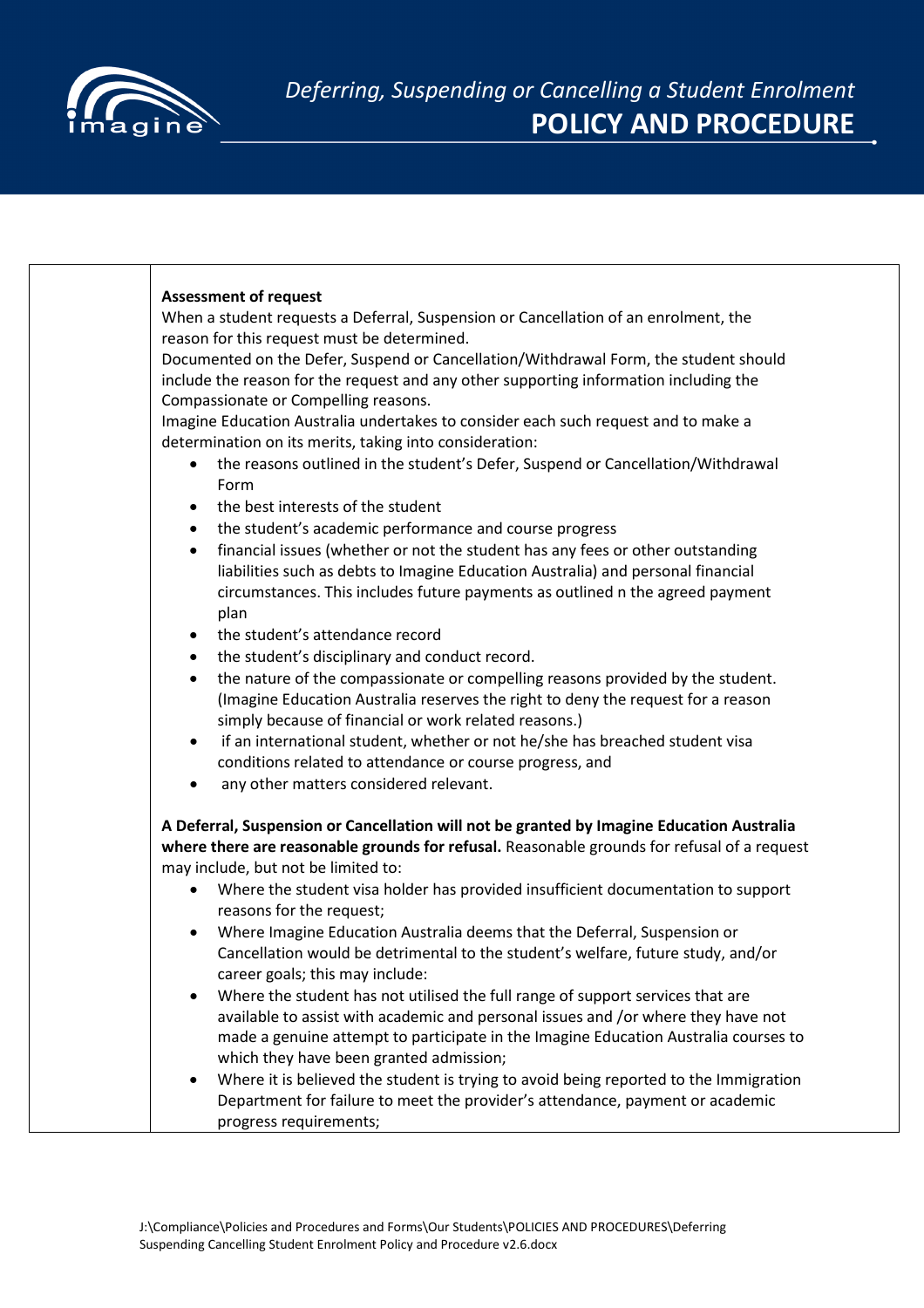

| <b>Assessment of request</b><br>When a student requests a Deferral, Suspension or Cancellation of an enrolment, the                                                                                                                                                                                   |
|-------------------------------------------------------------------------------------------------------------------------------------------------------------------------------------------------------------------------------------------------------------------------------------------------------|
| reason for this request must be determined.<br>Documented on the Defer, Suspend or Cancellation/Withdrawal Form, the student should<br>include the reason for the request and any other supporting information including the                                                                          |
| Compassionate or Compelling reasons.<br>Imagine Education Australia undertakes to consider each such request and to make a<br>determination on its merits, taking into consideration:<br>the reasons outlined in the student's Defer, Suspend or Cancellation/Withdrawal<br>Form                      |
| the best interests of the student<br>$\bullet$<br>the student's academic performance and course progress<br>$\bullet$                                                                                                                                                                                 |
| financial issues (whether or not the student has any fees or other outstanding<br>$\bullet$<br>liabilities such as debts to Imagine Education Australia) and personal financial<br>circumstances. This includes future payments as outlined n the agreed payment<br>plan                              |
| the student's attendance record<br>$\bullet$<br>the student's disciplinary and conduct record.<br>$\bullet$                                                                                                                                                                                           |
| the nature of the compassionate or compelling reasons provided by the student.<br>$\bullet$<br>(Imagine Education Australia reserves the right to deny the request for a reason<br>simply because of financial or work related reasons.)                                                              |
| if an international student, whether or not he/she has breached student visa<br>$\bullet$<br>conditions related to attendance or course progress, and<br>any other matters considered relevant.<br>$\bullet$                                                                                          |
| A Deferral, Suspension or Cancellation will not be granted by Imagine Education Australia<br>where there are reasonable grounds for refusal. Reasonable grounds for refusal of a request<br>may include, but not be limited to:                                                                       |
| Where the student visa holder has provided insufficient documentation to support<br>$\bullet$<br>reasons for the request;                                                                                                                                                                             |
| Where Imagine Education Australia deems that the Deferral, Suspension or<br>$\bullet$<br>Cancellation would be detrimental to the student's welfare, future study, and/or<br>career goals; this may include:                                                                                          |
| Where the student has not utilised the full range of support services that are<br>available to assist with academic and personal issues and /or where they have not<br>made a genuine attempt to participate in the Imagine Education Australia courses to<br>which they have been granted admission; |
| Where it is believed the student is trying to avoid being reported to the Immigration<br>$\bullet$<br>Department for failure to meet the provider's attendance, payment or academic<br>progress requirements;                                                                                         |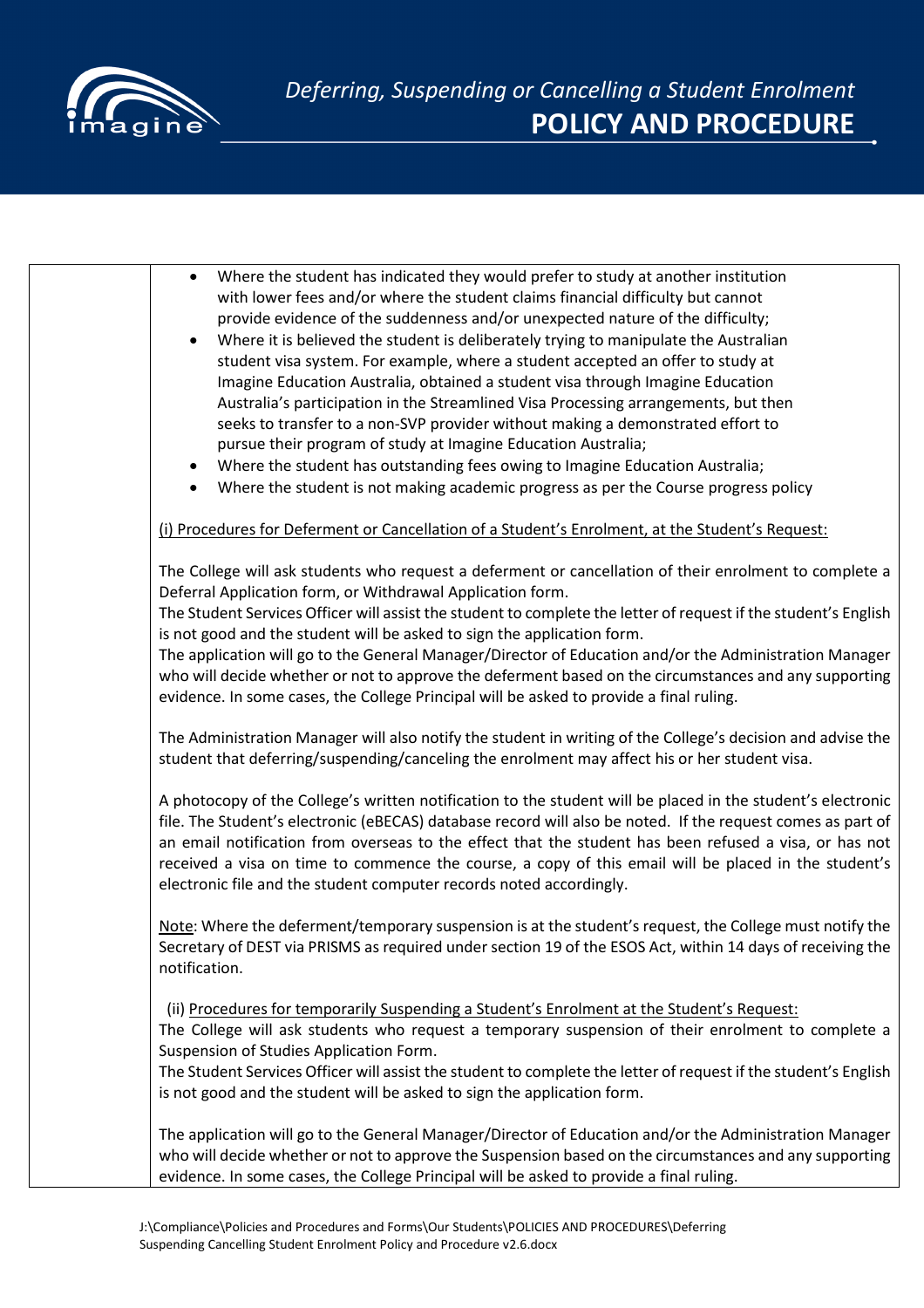

| $\bullet$ | Where the student has indicated they would prefer to study at another institution                                                                                                                                     |
|-----------|-----------------------------------------------------------------------------------------------------------------------------------------------------------------------------------------------------------------------|
|           | with lower fees and/or where the student claims financial difficulty but cannot                                                                                                                                       |
|           | provide evidence of the suddenness and/or unexpected nature of the difficulty;                                                                                                                                        |
| $\bullet$ | Where it is believed the student is deliberately trying to manipulate the Australian                                                                                                                                  |
|           | student visa system. For example, where a student accepted an offer to study at                                                                                                                                       |
|           | Imagine Education Australia, obtained a student visa through Imagine Education                                                                                                                                        |
|           | Australia's participation in the Streamlined Visa Processing arrangements, but then                                                                                                                                   |
|           | seeks to transfer to a non-SVP provider without making a demonstrated effort to                                                                                                                                       |
|           | pursue their program of study at Imagine Education Australia;                                                                                                                                                         |
| $\bullet$ | Where the student has outstanding fees owing to Imagine Education Australia;                                                                                                                                          |
| $\bullet$ | Where the student is not making academic progress as per the Course progress policy                                                                                                                                   |
|           |                                                                                                                                                                                                                       |
|           | (i) Procedures for Deferment or Cancellation of a Student's Enrolment, at the Student's Request:                                                                                                                      |
|           | The College will ask students who request a deferment or cancellation of their enrolment to complete a                                                                                                                |
|           | Deferral Application form, or Withdrawal Application form.                                                                                                                                                            |
|           | The Student Services Officer will assist the student to complete the letter of request if the student's English                                                                                                       |
|           | is not good and the student will be asked to sign the application form.                                                                                                                                               |
|           | The application will go to the General Manager/Director of Education and/or the Administration Manager                                                                                                                |
|           | who will decide whether or not to approve the deferment based on the circumstances and any supporting                                                                                                                 |
|           | evidence. In some cases, the College Principal will be asked to provide a final ruling.                                                                                                                               |
|           | The Administration Manager will also notify the student in writing of the College's decision and advise the                                                                                                           |
|           | student that deferring/suspending/canceling the enrolment may affect his or her student visa.                                                                                                                         |
|           |                                                                                                                                                                                                                       |
|           | A photocopy of the College's written notification to the student will be placed in the student's electronic                                                                                                           |
|           | file. The Student's electronic (eBECAS) database record will also be noted. If the request comes as part of                                                                                                           |
|           | an email notification from overseas to the effect that the student has been refused a visa, or has not                                                                                                                |
|           | received a visa on time to commence the course, a copy of this email will be placed in the student's                                                                                                                  |
|           | electronic file and the student computer records noted accordingly.                                                                                                                                                   |
|           |                                                                                                                                                                                                                       |
|           | Note: Where the deferment/temporary suspension is at the student's request, the College must notify the<br>Secretary of DEST via PRISMS as required under section 19 of the ESOS Act, within 14 days of receiving the |
|           | notification.                                                                                                                                                                                                         |
|           |                                                                                                                                                                                                                       |
|           | (ii) Procedures for temporarily Suspending a Student's Enrolment at the Student's Request:                                                                                                                            |
|           | The College will ask students who request a temporary suspension of their enrolment to complete a                                                                                                                     |
|           | Suspension of Studies Application Form.                                                                                                                                                                               |
|           | The Student Services Officer will assist the student to complete the letter of request if the student's English                                                                                                       |
|           | is not good and the student will be asked to sign the application form.                                                                                                                                               |
|           | The application will go to the General Manager/Director of Education and/or the Administration Manager                                                                                                                |
|           | who will decide whether or not to approve the Suspension based on the circumstances and any supporting                                                                                                                |
|           | evidence. In some cases, the College Principal will be asked to provide a final ruling.                                                                                                                               |
|           |                                                                                                                                                                                                                       |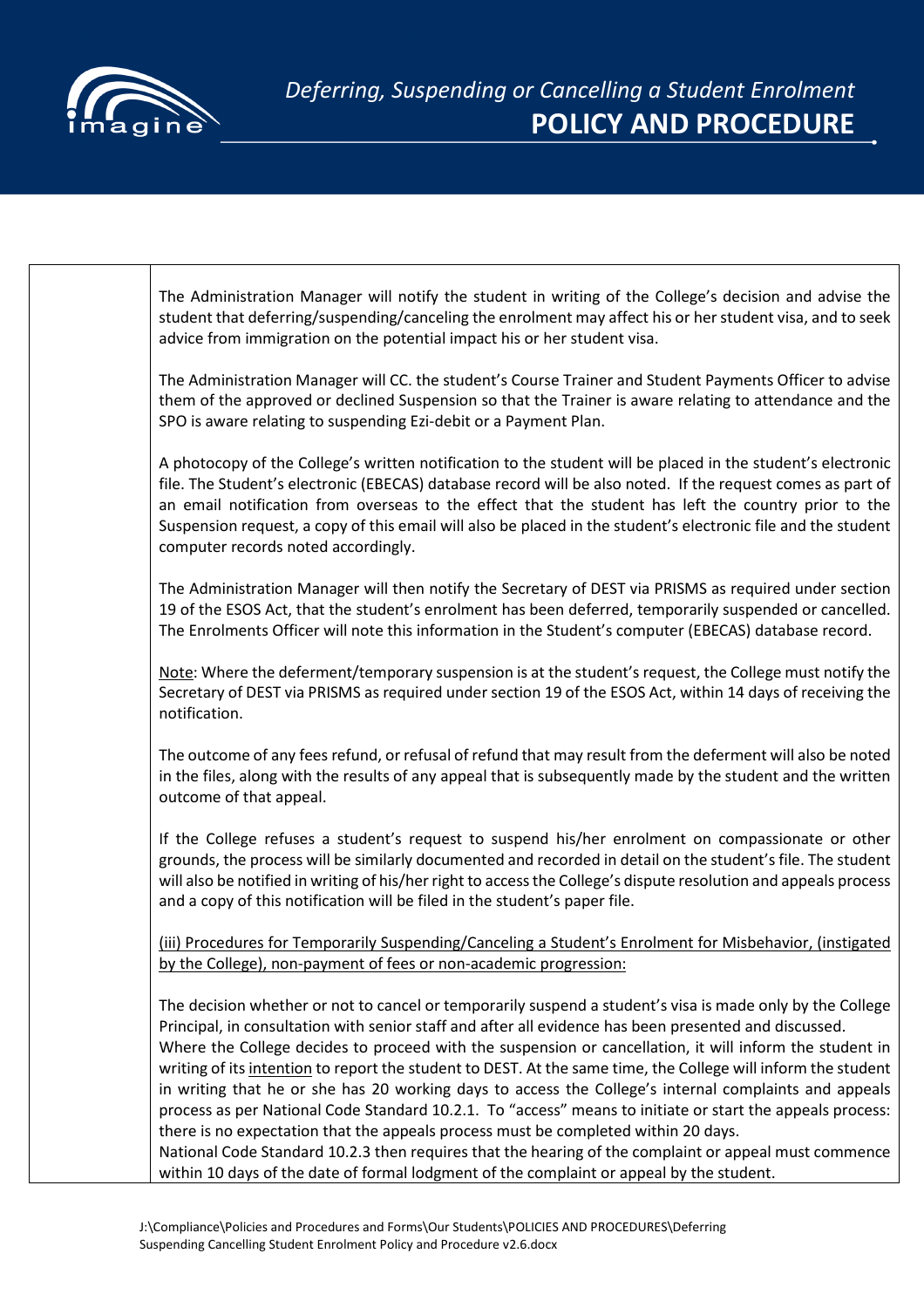

| The Administration Manager will notify the student in writing of the College's decision and advise the<br>student that deferring/suspending/canceling the enrolment may affect his or her student visa, and to seek<br>advice from immigration on the potential impact his or her student visa.                                                                                                                                                                                                                                                                                                                                                                                                                                                                                                                                                                                                                                                                 |
|-----------------------------------------------------------------------------------------------------------------------------------------------------------------------------------------------------------------------------------------------------------------------------------------------------------------------------------------------------------------------------------------------------------------------------------------------------------------------------------------------------------------------------------------------------------------------------------------------------------------------------------------------------------------------------------------------------------------------------------------------------------------------------------------------------------------------------------------------------------------------------------------------------------------------------------------------------------------|
| The Administration Manager will CC. the student's Course Trainer and Student Payments Officer to advise<br>them of the approved or declined Suspension so that the Trainer is aware relating to attendance and the<br>SPO is aware relating to suspending Ezi-debit or a Payment Plan.                                                                                                                                                                                                                                                                                                                                                                                                                                                                                                                                                                                                                                                                          |
| A photocopy of the College's written notification to the student will be placed in the student's electronic<br>file. The Student's electronic (EBECAS) database record will be also noted. If the request comes as part of<br>an email notification from overseas to the effect that the student has left the country prior to the<br>Suspension request, a copy of this email will also be placed in the student's electronic file and the student<br>computer records noted accordingly.                                                                                                                                                                                                                                                                                                                                                                                                                                                                      |
| The Administration Manager will then notify the Secretary of DEST via PRISMS as required under section<br>19 of the ESOS Act, that the student's enrolment has been deferred, temporarily suspended or cancelled.<br>The Enrolments Officer will note this information in the Student's computer (EBECAS) database record.                                                                                                                                                                                                                                                                                                                                                                                                                                                                                                                                                                                                                                      |
| Note: Where the deferment/temporary suspension is at the student's request, the College must notify the<br>Secretary of DEST via PRISMS as required under section 19 of the ESOS Act, within 14 days of receiving the<br>notification.                                                                                                                                                                                                                                                                                                                                                                                                                                                                                                                                                                                                                                                                                                                          |
| The outcome of any fees refund, or refusal of refund that may result from the deferment will also be noted<br>in the files, along with the results of any appeal that is subsequently made by the student and the written<br>outcome of that appeal.                                                                                                                                                                                                                                                                                                                                                                                                                                                                                                                                                                                                                                                                                                            |
| If the College refuses a student's request to suspend his/her enrolment on compassionate or other<br>grounds, the process will be similarly documented and recorded in detail on the student's file. The student<br>will also be notified in writing of his/her right to access the College's dispute resolution and appeals process<br>and a copy of this notification will be filed in the student's paper file.                                                                                                                                                                                                                                                                                                                                                                                                                                                                                                                                              |
| (iii) Procedures for Temporarily Suspending/Canceling a Student's Enrolment for Misbehavior, (instigated<br>by the College), non-payment of fees or non-academic progression:                                                                                                                                                                                                                                                                                                                                                                                                                                                                                                                                                                                                                                                                                                                                                                                   |
| The decision whether or not to cancel or temporarily suspend a student's visa is made only by the College<br>Principal, in consultation with senior staff and after all evidence has been presented and discussed.<br>Where the College decides to proceed with the suspension or cancellation, it will inform the student in<br>writing of its intention to report the student to DEST. At the same time, the College will inform the student<br>in writing that he or she has 20 working days to access the College's internal complaints and appeals<br>process as per National Code Standard 10.2.1. To "access" means to initiate or start the appeals process:<br>there is no expectation that the appeals process must be completed within 20 days.<br>National Code Standard 10.2.3 then requires that the hearing of the complaint or appeal must commence<br>within 10 days of the date of formal lodgment of the complaint or appeal by the student. |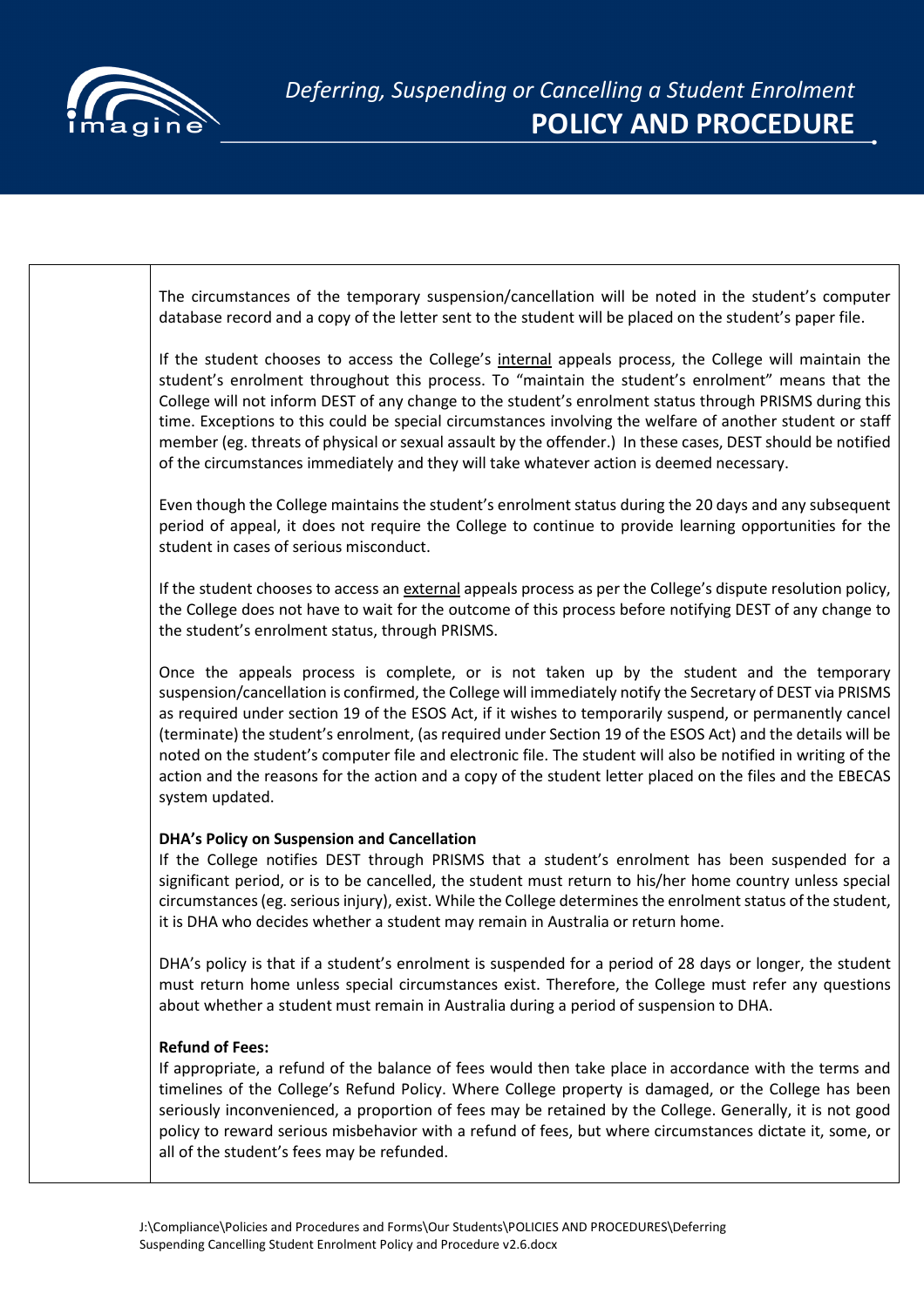

The circumstances of the temporary suspension/cancellation will be noted in the student's computer database record and a copy of the letter sent to the student will be placed on the student's paper file.

If the student chooses to access the College's internal appeals process, the College will maintain the student's enrolment throughout this process. To "maintain the student's enrolment" means that the College will not inform DEST of any change to the student's enrolment status through PRISMS during this time. Exceptions to this could be special circumstances involving the welfare of another student or staff member (eg. threats of physical or sexual assault by the offender.) In these cases, DEST should be notified of the circumstances immediately and they will take whatever action is deemed necessary.

Even though the College maintains the student's enrolment status during the 20 days and any subsequent period of appeal, it does not require the College to continue to provide learning opportunities for the student in cases of serious misconduct.

If the student chooses to access an external appeals process as per the College's dispute resolution policy, the College does not have to wait for the outcome of this process before notifying DEST of any change to the student's enrolment status, through PRISMS.

Once the appeals process is complete, or is not taken up by the student and the temporary suspension/cancellation is confirmed, the College will immediately notify the Secretary of DEST via PRISMS as required under section 19 of the ESOS Act, if it wishes to temporarily suspend, or permanently cancel (terminate) the student's enrolment, (as required under Section 19 of the ESOS Act) and the details will be noted on the student's computer file and electronic file. The student will also be notified in writing of the action and the reasons for the action and a copy of the student letter placed on the files and the EBECAS system updated.

## **DHA's Policy on Suspension and Cancellation**

If the College notifies DEST through PRISMS that a student's enrolment has been suspended for a significant period, or is to be cancelled, the student must return to his/her home country unless special circumstances (eg. serious injury), exist. While the College determines the enrolment status of the student, it is DHA who decides whether a student may remain in Australia or return home.

DHA's policy is that if a student's enrolment is suspended for a period of 28 days or longer, the student must return home unless special circumstances exist. Therefore, the College must refer any questions about whether a student must remain in Australia during a period of suspension to DHA.

## **Refund of Fees:**

If appropriate, a refund of the balance of fees would then take place in accordance with the terms and timelines of the College's Refund Policy. Where College property is damaged, or the College has been seriously inconvenienced, a proportion of fees may be retained by the College. Generally, it is not good policy to reward serious misbehavior with a refund of fees, but where circumstances dictate it, some, or all of the student's fees may be refunded.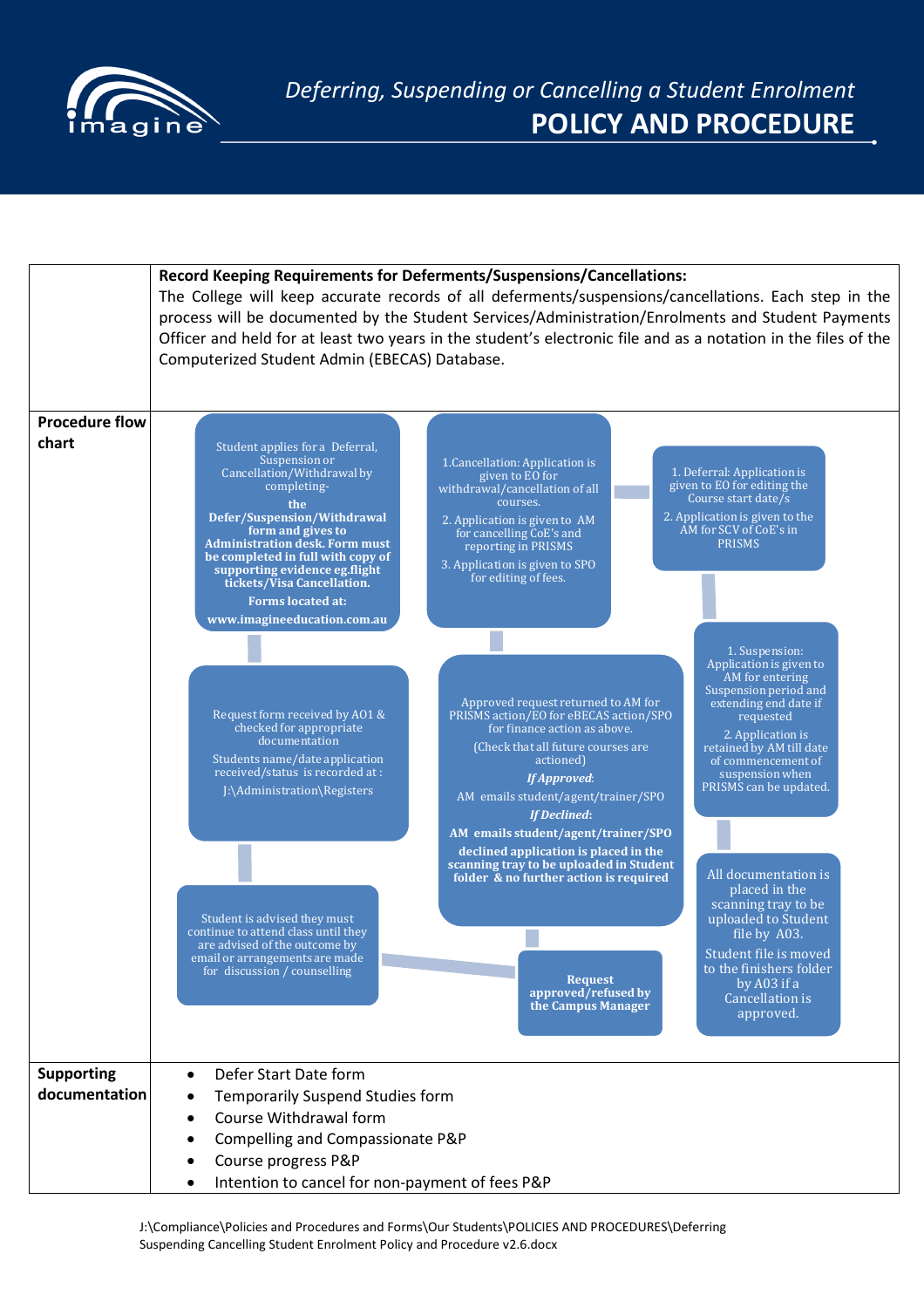

|                                    | Record Keeping Requirements for Deferments/Suspensions/Cancellations:<br>The College will keep accurate records of all deferments/suspensions/cancellations. Each step in the<br>process will be documented by the Student Services/Administration/Enrolments and Student Payments<br>Officer and held for at least two years in the student's electronic file and as a notation in the files of the<br>Computerized Student Admin (EBECAS) Database.                                                                                                                                                                                                                                                                                                                                                                                                                                                                                                                                                                                                                                                                                                                                                                                                                                                                                                                                                                                                                                                                                                                                                                                                                                                                                                                                                                                                                                                                                                                                                                                                                                                       |
|------------------------------------|-------------------------------------------------------------------------------------------------------------------------------------------------------------------------------------------------------------------------------------------------------------------------------------------------------------------------------------------------------------------------------------------------------------------------------------------------------------------------------------------------------------------------------------------------------------------------------------------------------------------------------------------------------------------------------------------------------------------------------------------------------------------------------------------------------------------------------------------------------------------------------------------------------------------------------------------------------------------------------------------------------------------------------------------------------------------------------------------------------------------------------------------------------------------------------------------------------------------------------------------------------------------------------------------------------------------------------------------------------------------------------------------------------------------------------------------------------------------------------------------------------------------------------------------------------------------------------------------------------------------------------------------------------------------------------------------------------------------------------------------------------------------------------------------------------------------------------------------------------------------------------------------------------------------------------------------------------------------------------------------------------------------------------------------------------------------------------------------------------------|
| <b>Procedure flow</b><br>chart     | Student applies for a Deferral,<br>Suspension or<br>1. Cancellation: Application is<br>Cancellation/Withdrawal by<br>1. Deferral: Application is<br>given to EO for<br>given to EO for editing the<br>completing-<br>withdrawal/cancellation of all<br>Course start date/s<br>courses.<br>the<br>Defer/Suspension/Withdrawal<br>2. Application is given to the<br>2. Application is given to AM<br>AM for SCV of CoE's in<br>form and gives to<br>for cancelling CoE's and<br><b>PRISMS</b><br><b>Administration desk. Form must</b><br>reporting in PRISMS<br>be completed in full with copy of<br>3. Application is given to SPO<br>supporting evidence eg.flight<br>for editing of fees.<br>tickets/Visa Cancellation.<br><b>Forms located at:</b><br>www.imagineeducation.com.au<br>1. Suspension:<br>Application is given to<br>AM for entering<br>Suspension period and<br>Approved request returned to AM for<br>extending end date if<br>PRISMS action/EO for eBECAS action/SPO<br>Request form received by A01 &<br>requested<br>checked for appropriate<br>for finance action as above.<br>2. Application is<br>documentation<br>(Check that all future courses are<br>retained by AM till date<br>Students name/date application<br>actioned)<br>of commencement of<br>received/status is recorded at :<br>suspension when<br><b>If Approved:</b><br>PRISMS can be updated.<br>J:\Administration\Registers<br>AM emails student/agent/trainer/SPO<br><b>If Declined:</b><br>AM emails student/agent/trainer/SPO<br>declined application is placed in the<br>scanning tray to be uploaded in Student<br>All documentation is<br>folder & no further action is required<br>placed in the<br>scanning tray to be<br>uploaded to Student<br>Student is advised they must<br>continue to attend class until they<br>file by A03.<br>are advised of the outcome by<br>Student file is moved<br>email or arrangements are made<br>to the finishers folder<br>for discussion / counselling<br><b>Request</b><br>by A03 if a<br>approved/refused by<br>Cancellation is<br>the Campus Manager<br>approved. |
| <b>Supporting</b><br>documentation | Defer Start Date form<br>$\bullet$<br><b>Temporarily Suspend Studies form</b><br>Course Withdrawal form<br>Compelling and Compassionate P&P<br>Course progress P&P<br>Intention to cancel for non-payment of fees P&P                                                                                                                                                                                                                                                                                                                                                                                                                                                                                                                                                                                                                                                                                                                                                                                                                                                                                                                                                                                                                                                                                                                                                                                                                                                                                                                                                                                                                                                                                                                                                                                                                                                                                                                                                                                                                                                                                       |